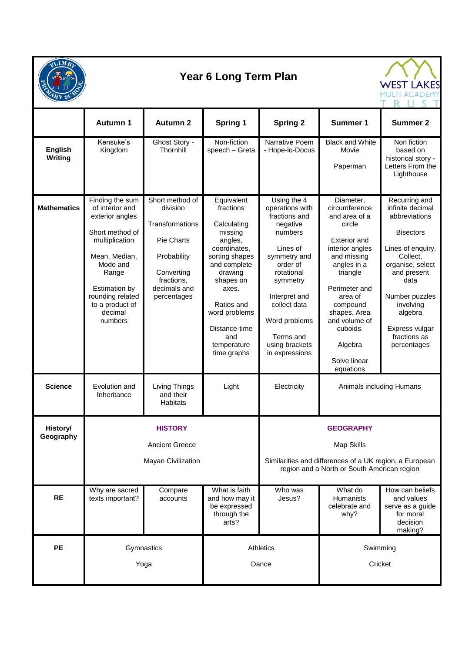

## **Year 6 Long Term Plan**



|                                  | <b>Autumn 1</b>                                                                                                                                                                                                       | <b>Autumn 2</b>                                                                                                                               | <b>Spring 1</b>                                                                                                                                                                                                                      | <b>Spring 2</b>                                                                                                                                                                                                                             | <b>Summer 1</b>                                                                                                                                                                                                                                                        | <b>Summer 2</b>                                                                                                                                                                                                                               |
|----------------------------------|-----------------------------------------------------------------------------------------------------------------------------------------------------------------------------------------------------------------------|-----------------------------------------------------------------------------------------------------------------------------------------------|--------------------------------------------------------------------------------------------------------------------------------------------------------------------------------------------------------------------------------------|---------------------------------------------------------------------------------------------------------------------------------------------------------------------------------------------------------------------------------------------|------------------------------------------------------------------------------------------------------------------------------------------------------------------------------------------------------------------------------------------------------------------------|-----------------------------------------------------------------------------------------------------------------------------------------------------------------------------------------------------------------------------------------------|
| <b>English</b><br><b>Writing</b> | Kensuke's<br>Kingdom                                                                                                                                                                                                  | Ghost Story -<br>Thornhill                                                                                                                    | Non-fiction<br>speech - Greta                                                                                                                                                                                                        | Narrative Poem<br>- Hope-lo-Docus                                                                                                                                                                                                           | <b>Black and White</b><br>Movie<br>Paperman                                                                                                                                                                                                                            | Non fiction<br>based on<br>historical story -<br>Letters From the<br>Lighthouse                                                                                                                                                               |
| <b>Mathematics</b>               | Finding the sum<br>of interior and<br>exterior angles<br>Short method of<br>multiplication<br>Mean, Median,<br>Mode and<br>Range<br><b>Estimation by</b><br>rounding related<br>to a product of<br>decimal<br>numbers | Short method of<br>division<br>Transformations<br><b>Pie Charts</b><br>Probability<br>Converting<br>fractions.<br>decimals and<br>percentages | Equivalent<br>fractions<br>Calculating<br>missing<br>angles,<br>coordinates,<br>sorting shapes<br>and complete<br>drawing<br>shapes on<br>axes.<br>Ratios and<br>word problems<br>Distance-time<br>and<br>temperature<br>time graphs | Using the 4<br>operations with<br>fractions and<br>negative<br>numbers<br>Lines of<br>symmetry and<br>order of<br>rotational<br>symmetry<br>Interpret and<br>collect data<br>Word problems<br>Terms and<br>using brackets<br>in expressions | Diameter,<br>circumference<br>and area of a<br>circle<br><b>Exterior and</b><br>interior angles<br>and missing<br>angles in a<br>triangle<br>Perimeter and<br>area of<br>compound<br>shapes. Area<br>and volume of<br>cuboids.<br>Algebra<br>Solve linear<br>equations | Recurring and<br>infinite decimal<br>abbreviations<br><b>Bisectors</b><br>Lines of enquiry.<br>Collect,<br>organise, select<br>and present<br>data<br>Number puzzles<br>involving<br>algebra<br>Express vulgar<br>fractions as<br>percentages |
| <b>Science</b>                   | Evolution and<br>Inheritance                                                                                                                                                                                          | Living Things<br>and their<br><b>Habitats</b>                                                                                                 | Light                                                                                                                                                                                                                                | Electricity                                                                                                                                                                                                                                 | Animals including Humans                                                                                                                                                                                                                                               |                                                                                                                                                                                                                                               |
| History/                         | <b>HISTORY</b>                                                                                                                                                                                                        |                                                                                                                                               |                                                                                                                                                                                                                                      | <b>GEOGRAPHY</b>                                                                                                                                                                                                                            |                                                                                                                                                                                                                                                                        |                                                                                                                                                                                                                                               |
| Geography                        | <b>Ancient Greece</b>                                                                                                                                                                                                 |                                                                                                                                               |                                                                                                                                                                                                                                      | Map Skills                                                                                                                                                                                                                                  |                                                                                                                                                                                                                                                                        |                                                                                                                                                                                                                                               |
|                                  | Mayan Civilization                                                                                                                                                                                                    |                                                                                                                                               |                                                                                                                                                                                                                                      | Similarities and differences of a UK region, a European<br>region and a North or South American region                                                                                                                                      |                                                                                                                                                                                                                                                                        |                                                                                                                                                                                                                                               |
| <b>RE</b>                        | Why are sacred<br>texts important?                                                                                                                                                                                    | Compare<br>accounts                                                                                                                           | What is faith<br>and how may it<br>be expressed<br>through the<br>arts?                                                                                                                                                              | Who was<br>Jesus?                                                                                                                                                                                                                           | What do<br>Humanists<br>celebrate and<br>why?                                                                                                                                                                                                                          | How can beliefs<br>and values<br>serve as a guide<br>for moral<br>decision<br>making?                                                                                                                                                         |
| <b>PE</b>                        | Gymnastics<br>Yoga                                                                                                                                                                                                    |                                                                                                                                               | Athletics<br>Dance                                                                                                                                                                                                                   |                                                                                                                                                                                                                                             | Swimming<br>Cricket                                                                                                                                                                                                                                                    |                                                                                                                                                                                                                                               |